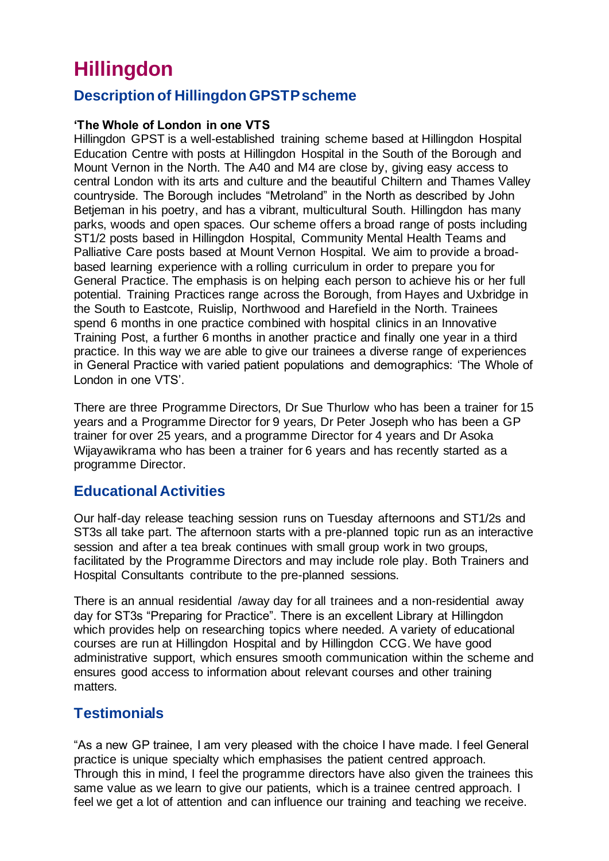# **Hillingdon**

## **Description of Hillingdon GPSTP scheme**

#### **'The Whole of London in one VTS**

Hillingdon GPST is a well-established training scheme based at Hillingdon Hospital Education Centre with posts at Hillingdon Hospital in the South of the Borough and Mount Vernon in the North. The A40 and M4 are close by, giving easy access to central London with its arts and culture and the beautiful Chiltern and Thames Valley countryside. The Borough includes "Metroland" in the North as described by John Betieman in his poetry, and has a vibrant, multicultural South. Hillingdon has many parks, woods and open spaces. Our scheme offers a broad range of posts including ST1/2 posts based in Hillingdon Hospital, Community Mental Health Teams and Palliative Care posts based at Mount Vernon Hospital. We aim to provide a broadbased learning experience with a rolling curriculum in order to prepare you for General Practice. The emphasis is on helping each person to achieve his or her full potential. Training Practices range across the Borough, from Hayes and Uxbridge in the South to Eastcote, Ruislip, Northwood and Harefield in the North. Trainees spend 6 months in one practice combined with hospital clinics in an Innovative Training Post, a further 6 months in another practice and finally one year in a third practice. In this way we are able to give our trainees a diverse range of experiences in General Practice with varied patient populations and demographics: 'The Whole of London in one VTS'.

There are three Programme Directors, Dr Sue Thurlow who has been a trainer for 15 years and a Programme Director for 9 years, Dr Peter Joseph who has been a GP trainer for over 25 years, and a programme Director for 4 years and Dr Asoka Wijayawikrama who has been a trainer for 6 years and has recently started as a programme Director.

### **Educational Activities**

Our half-day release teaching session runs on Tuesday afternoons and ST1/2s and ST3s all take part. The afternoon starts with a pre-planned topic run as an interactive session and after a tea break continues with small group work in two groups, facilitated by the Programme Directors and may include role play. Both Trainers and Hospital Consultants contribute to the pre-planned sessions.

There is an annual residential /away day for all trainees and a non-residential away day for ST3s "Preparing for Practice". There is an excellent Library at Hillingdon which provides help on researching topics where needed. A variety of educational courses are run at Hillingdon Hospital and by Hillingdon CCG. We have good administrative support, which ensures smooth communication within the scheme and ensures good access to information about relevant courses and other training matters.

### **Testimonials**

"As a new GP trainee, I am very pleased with the choice I have made. I feel General practice is unique specialty which emphasises the patient centred approach. Through this in mind, I feel the programme directors have also given the trainees this same value as we learn to give our patients, which is a trainee centred approach. I feel we get a lot of attention and can influence our training and teaching we receive.